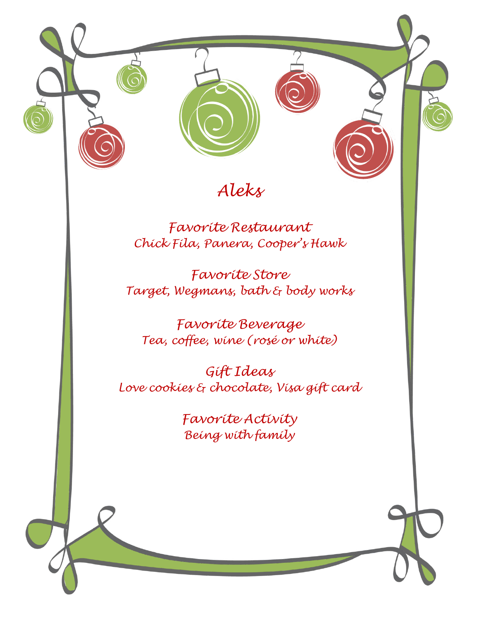



### *Aleks*

*Favorite Restaurant Chick Fila, Panera, Cooper's Hawk*

*Favorite Store Target, Wegmans, bath & body works*

*Favorite Beverage Tea, coffee, wine (rosé or white)*

*Gift Ideas Love cookies & chocolate, Visa gift card*

> *Favorite Activity Being with family*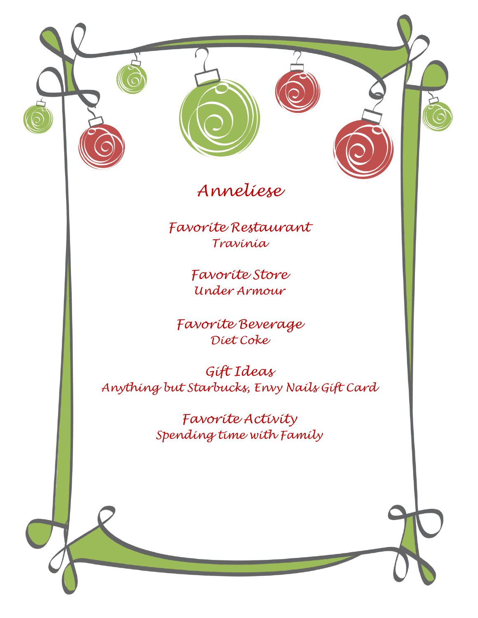



### *Anneliese*

*Favorite Restaurant Travinia*

> *Favorite Store Under Armour*

*Favorite Beverage Diet Coke*

*Gift Ideas Anything but Starbucks, Envy Nails Gift Card*

> *Favorite Activity Spending time with Family*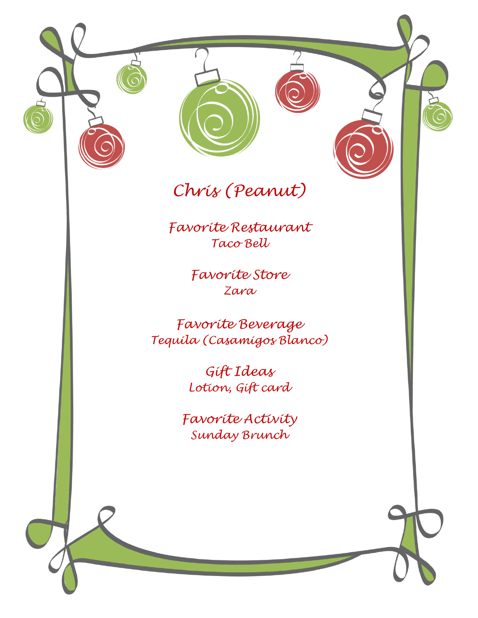



# *Chris (Peanut)*

*Favorite Restaurant Taco Bell*

> *Favorite Store Zara*

*Favorite Beverage Tequila (Casamigos Blanco)*

> *Gift Ideas Lotion, Gift card*

*Favorite Activity Sunday Brunch*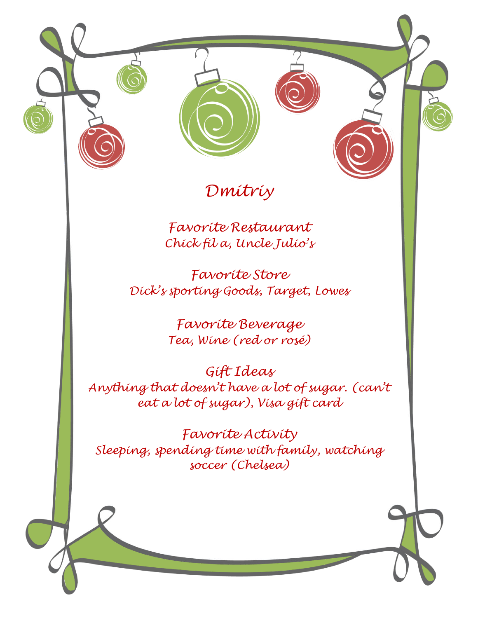



#### *Dmitriy*

*Favorite Restaurant Chick fil a, Uncle Julio's*

*Favorite Store Dick's sporting Goods, Target, Lowes*

> *Favorite Beverage Tea, Wine (red or rosé)*

*Gift Ideas Anything that doesn't have a lot of sugar. (can't eat a lot of sugar), Visa gift card*

*Favorite Activity Sleeping, spending time with family, watching soccer (Chelsea)*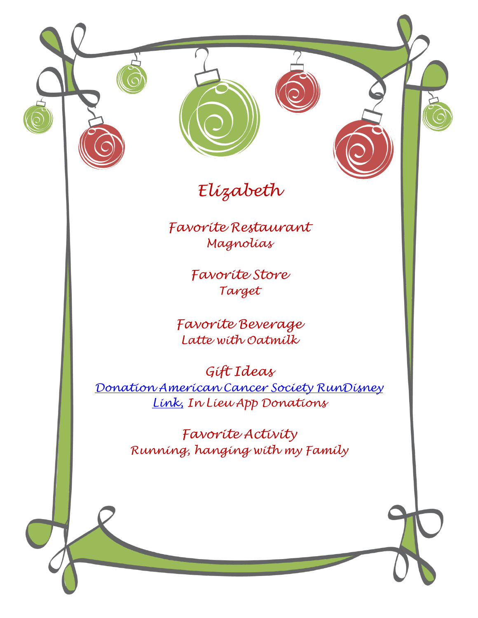



# *Elizabeth*

*Favorite Restaurant Magnolias*

> *Favorite Store Target*

*Favorite Beverage Latte with Oatmilk*

*Gift Ideas [Donation American Cancer Society RunDisney](http://main.acsevents.org/goto/elizabethboehnlein)  [Link,](http://main.acsevents.org/goto/elizabethboehnlein) In Lieu App Donations*

> *Favorite Activity Running, hanging with my Family*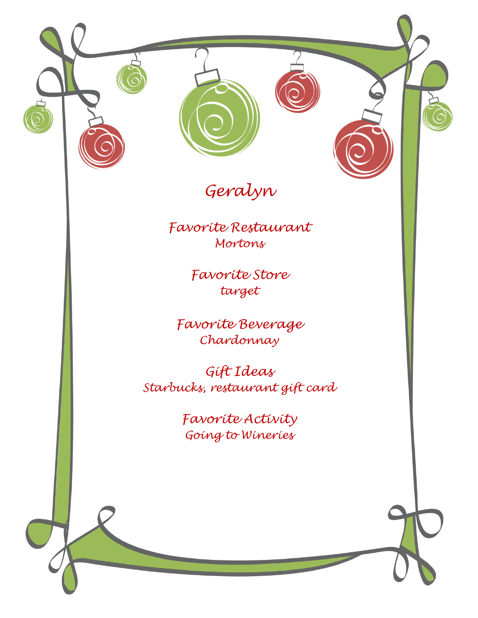



### *Geralyn*

*Favorite Restaurant Mortons*

> *Favorite Store target*

*Favorite Beverage Chardonnay*

*Gift Ideas Starbucks, restaurant gift card*

> *Favorite Activity Going to Wineries*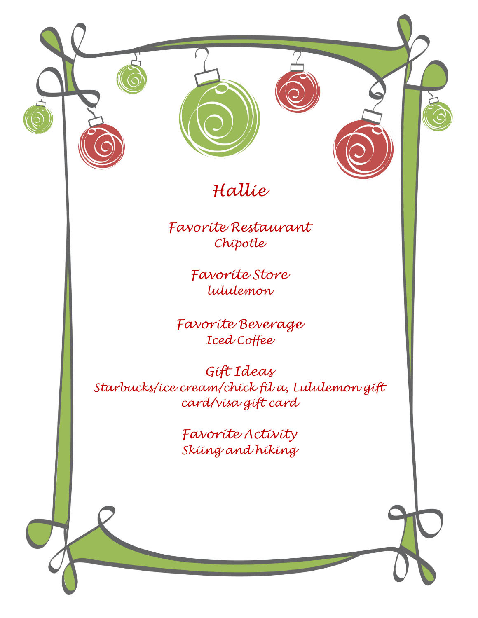



# *Hallie*

*Favorite Restaurant Chipotle*

> *Favorite Store lululemon*

*Favorite Beverage Iced Coffee*

*Gift Ideas Starbucks/ice cream/chick fil a, Lululemon gift card/visa gift card*

> *Favorite Activity Skiing and hiking*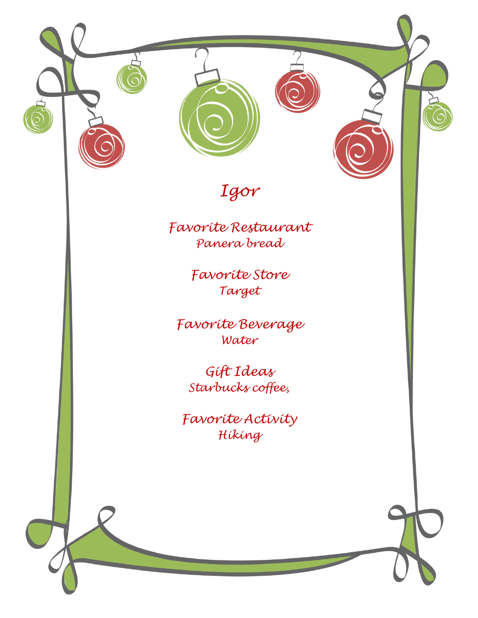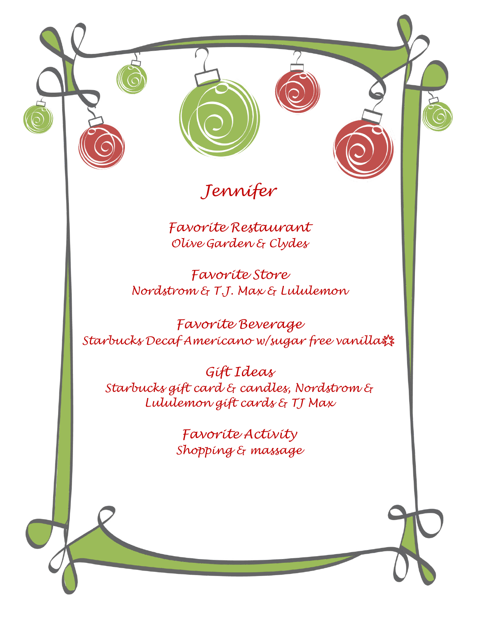



# *Jennifer*

*Favorite Restaurant Olive Garden & Clydes*

*Favorite Store Nordstrom & T.J. Max & Lululemon*

*Favorite Beverage Starbucks Decaf Americano w/sugar free vanilla*

*Gift Ideas Starbucks gift card & candles, Nordstrom & Lululemon gift cards & TJ Max*

> *Favorite Activity Shopping & massage*

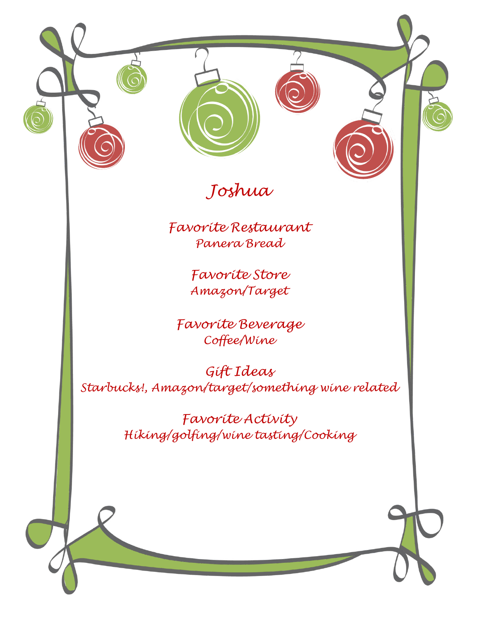



# *Joshua*

*Favorite Restaurant Panera Bread*

> *Favorite Store Amazon/Target*

*Favorite Beverage Coffee/Wine*

*Gift Ideas Starbucks!, Amazon/target/something wine related*

> *Favorite Activity Hiking/golfing/wine tasting/Cooking*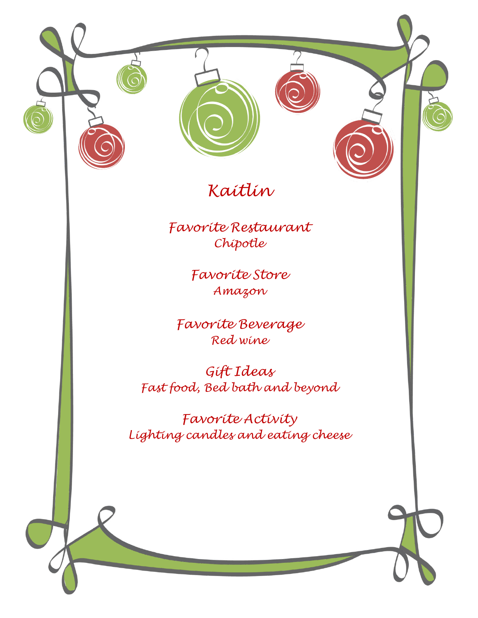



### *Kaitlin*

*Favorite Restaurant Chipotle*

> *Favorite Store Amazon*

*Favorite Beverage Red wine*

*Gift Ideas Fast food, Bed bath and beyond*

*Favorite Activity Lighting candles and eating cheese*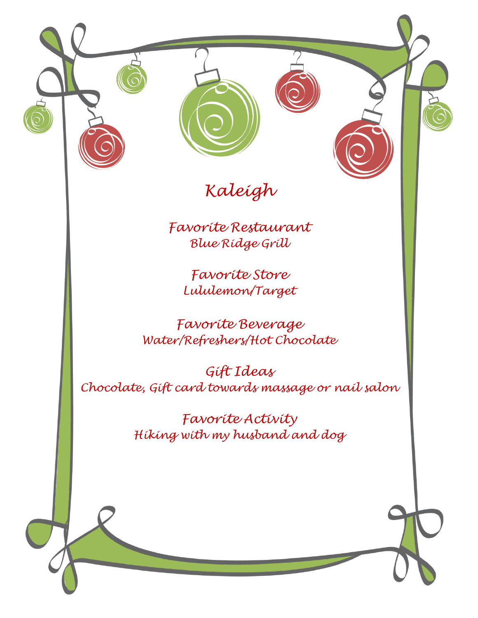



# *Kaleigh*

*Favorite Restaurant Blue Ridge Grill*

*Favorite Store Lululemon/Target*

*Favorite Beverage Water/Refreshers/Hot Chocolate*

*Gift Ideas Chocolate, Gift card towards massage or nail salon*

> *Favorite Activity Hiking with my husband and dog*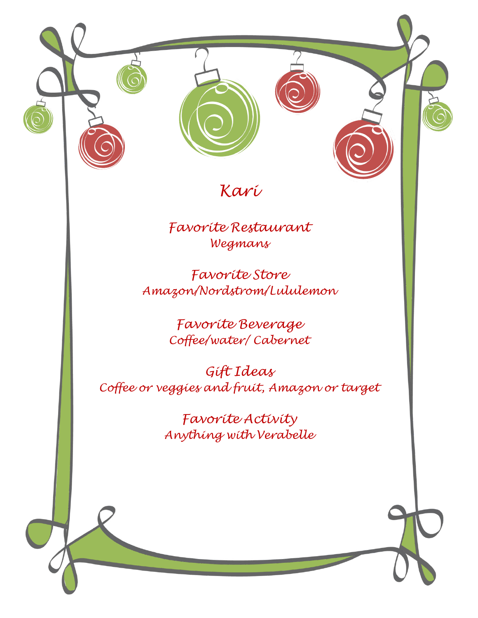



### *Kari*

*Favorite Restaurant Wegmans*

*Favorite Store Amazon/Nordstrom/Lululemon*

> *Favorite Beverage Coffee/water/ Cabernet*

*Gift Ideas Coffee or veggies and fruit, Amazon or target*

> *Favorite Activity Anything with Verabelle*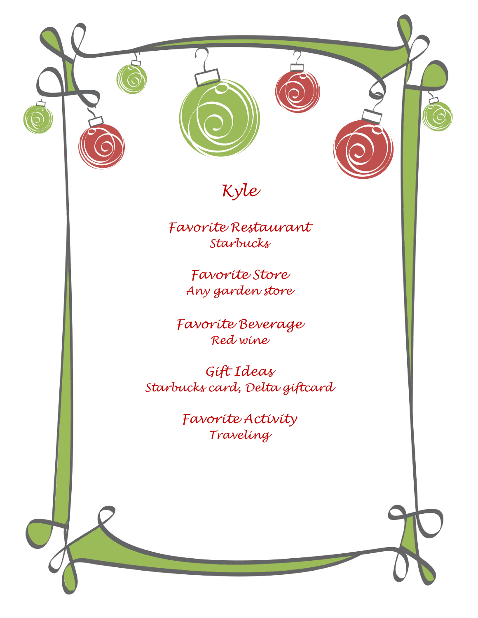



*Kyle*

*Favorite Restaurant Starbucks*

> *Favorite Store Any garden store*

*Favorite Beverage Red wine*

*Gift Ideas Starbucks card, Delta giftcard*

> *Favorite Activity Traveling*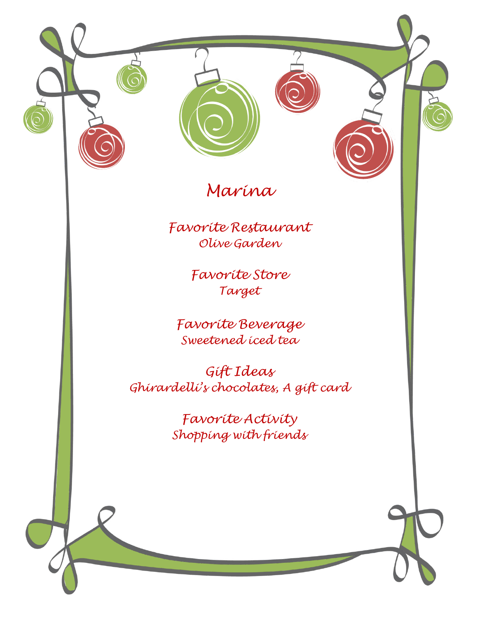



### *Marina*

*Favorite Restaurant Olive Garden*

> *Favorite Store Target*

*Favorite Beverage Sweetened iced tea*

*Gift Ideas Ghirardelli's chocolates, A gift card*

> *Favorite Activity Shopping with friends*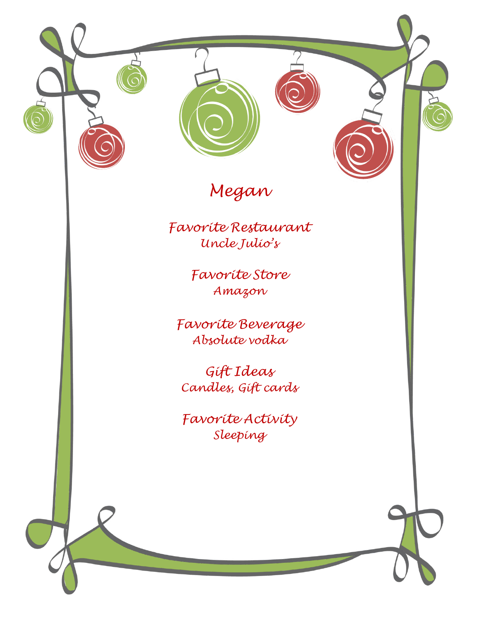



# *Megan*

*Favorite Restaurant Uncle Julio's*

> *Favorite Store Amazon*

*Favorite Beverage Absolute vodka*

*Gift Ideas Candles, Gift cards*

*Favorite Activity Sleeping*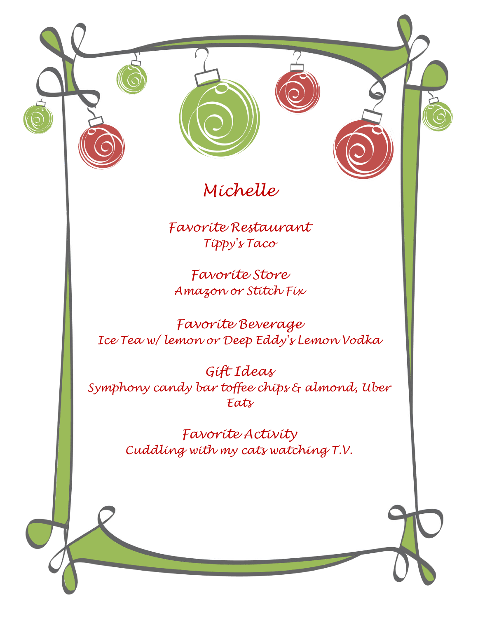



# *Michelle*

*Favorite Restaurant Tippy's Taco*

*Favorite Store Amazon or Stitch Fix*

*Favorite Beverage Ice Tea w/ lemon or Deep Eddy's Lemon Vodka*

*Gift Ideas Symphony candy bar toffee chips & almond, Uber Eats*

> *Favorite Activity Cuddling with my cats watching T.V.*